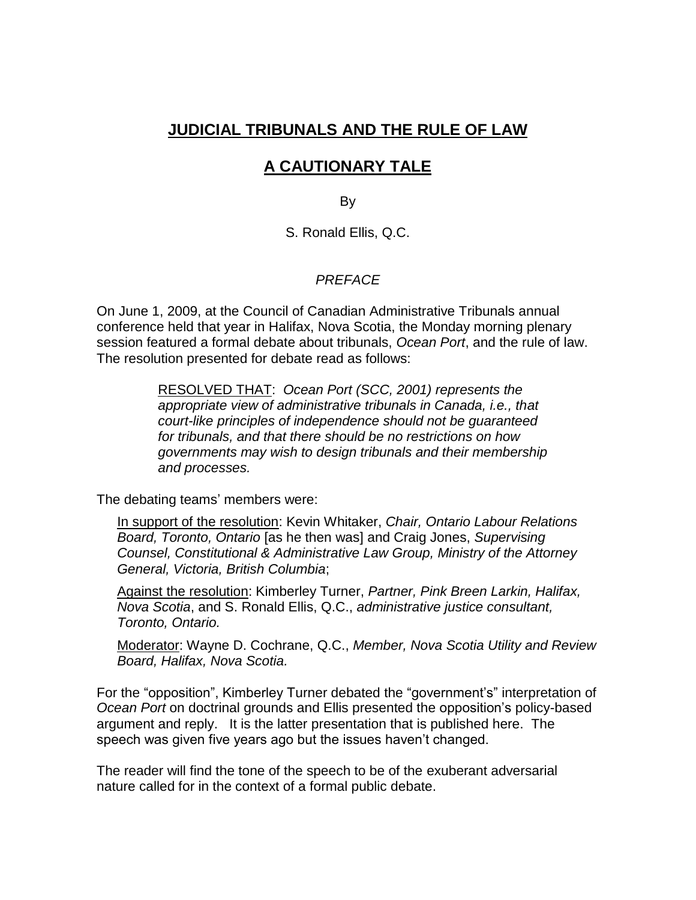# **JUDICIAL TRIBUNALS AND THE RULE OF LAW**

# **A CAUTIONARY TALE**

By

S. Ronald Ellis, Q.C.

## *PREFACE*

On June 1, 2009, at the Council of Canadian Administrative Tribunals annual conference held that year in Halifax, Nova Scotia, the Monday morning plenary session featured a formal debate about tribunals, *Ocean Port*, and the rule of law. The resolution presented for debate read as follows:

> RESOLVED THAT: *Ocean Port (SCC, 2001) represents the appropriate view of administrative tribunals in Canada, i.e., that court-like principles of independence should not be guaranteed for tribunals, and that there should be no restrictions on how governments may wish to design tribunals and their membership and processes.*

The debating teams' members were:

In support of the resolution: Kevin Whitaker, *Chair, Ontario Labour Relations Board, Toronto, Ontario* [as he then was] and Craig Jones, *Supervising Counsel, Constitutional & Administrative Law Group, Ministry of the Attorney General, Victoria, British Columbia*;

Against the resolution: Kimberley Turner, *Partner, Pink Breen Larkin, Halifax, Nova Scotia*, and S. Ronald Ellis, Q.C., *administrative justice consultant, Toronto, Ontario.*

Moderator: Wayne D. Cochrane, Q.C., *Member, Nova Scotia Utility and Review Board, Halifax, Nova Scotia.*

For the "opposition", Kimberley Turner debated the "government's" interpretation of *Ocean Port* on doctrinal grounds and Ellis presented the opposition's policy-based argument and reply. It is the latter presentation that is published here. The speech was given five years ago but the issues haven't changed.

The reader will find the tone of the speech to be of the exuberant adversarial nature called for in the context of a formal public debate.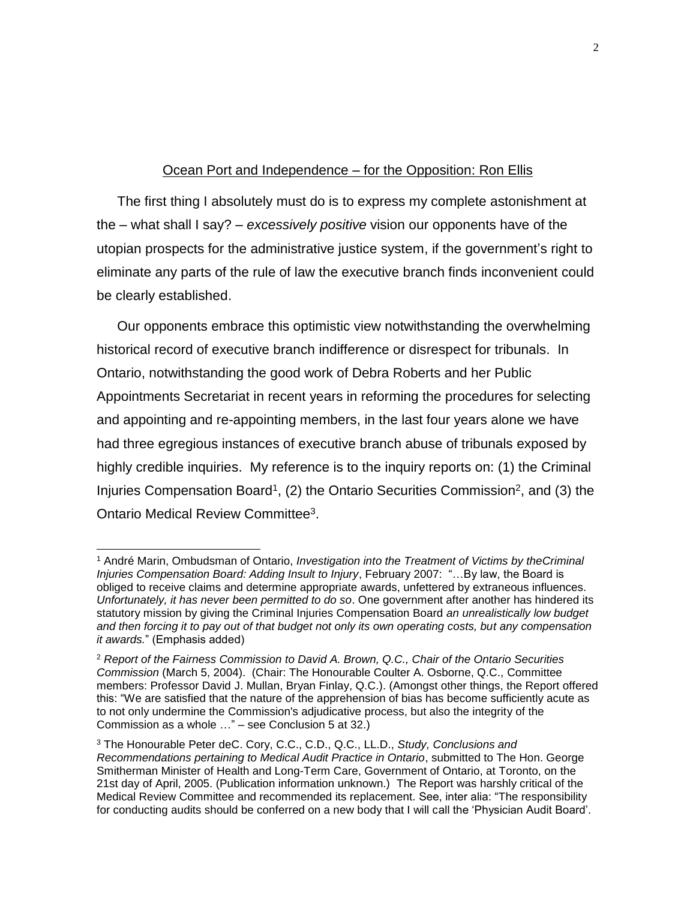### Ocean Port and Independence – for the Opposition: Ron Ellis

The first thing I absolutely must do is to express my complete astonishment at the – what shall I say? – *excessively positive* vision our opponents have of the utopian prospects for the administrative justice system, if the government's right to eliminate any parts of the rule of law the executive branch finds inconvenient could be clearly established.

Our opponents embrace this optimistic view notwithstanding the overwhelming historical record of executive branch indifference or disrespect for tribunals. In Ontario, notwithstanding the good work of Debra Roberts and her Public Appointments Secretariat in recent years in reforming the procedures for selecting and appointing and re-appointing members, in the last four years alone we have had three egregious instances of executive branch abuse of tribunals exposed by highly credible inquiries. My reference is to the inquiry reports on: (1) the Criminal Injuries Compensation Board<sup>1</sup>, (2) the Ontario Securities Commission<sup>2</sup>, and (3) the Ontario Medical Review Committee<sup>3</sup>.

<sup>1</sup> André Marin, Ombudsman of Ontario, *Investigation into the Treatment of Victims by theCriminal Injuries Compensation Board: Adding Insult to Injury*, February 2007: "…By law, the Board is obliged to receive claims and determine appropriate awards, unfettered by extraneous influences. *Unfortunately, it has never been permitted to do so*. One government after another has hindered its statutory mission by giving the Criminal Injuries Compensation Board *an unrealistically low budget and then forcing it to pay out of that budget not only its own operating costs, but any compensation it awards.*" (Emphasis added)

<sup>2</sup> *Report of the Fairness Commission to David A. Brown, Q.C., Chair of the Ontario Securities Commission* (March 5, 2004). (Chair: The Honourable Coulter A. Osborne, Q.C., Committee members: Professor David J. Mullan, Bryan Finlay, Q.C.). (Amongst other things, the Report offered this: "We are satisfied that the nature of the apprehension of bias has become sufficiently acute as to not only undermine the Commission's adjudicative process, but also the integrity of the Commission as a whole …" – see Conclusion 5 at 32.)

<sup>3</sup> The Honourable Peter deC. Cory, C.C., C.D., Q.C., LL.D., *Study, Conclusions and Recommendations pertaining to Medical Audit Practice in Ontario*, submitted to The Hon. George Smitherman Minister of Health and Long-Term Care, Government of Ontario, at Toronto, on the 21st day of April, 2005. (Publication information unknown.) The Report was harshly critical of the Medical Review Committee and recommended its replacement. See, inter alia: "The responsibility for conducting audits should be conferred on a new body that I will call the 'Physician Audit Board'.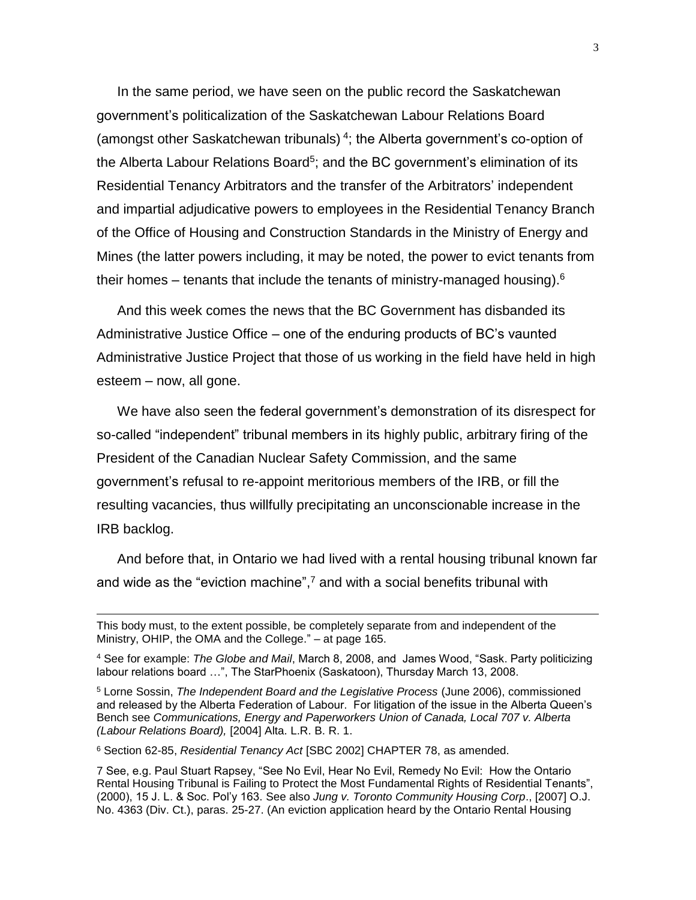In the same period, we have seen on the public record the Saskatchewan government's politicalization of the Saskatchewan Labour Relations Board (amongst other Saskatchewan tribunals)<sup>4</sup>; the Alberta government's co-option of the Alberta Labour Relations Board<sup>5</sup>; and the BC government's elimination of its Residential Tenancy Arbitrators and the transfer of the Arbitrators' independent and impartial adjudicative powers to employees in the Residential Tenancy Branch of the Office of Housing and Construction Standards in the Ministry of Energy and Mines (the latter powers including, it may be noted, the power to evict tenants from their homes – tenants that include the tenants of ministry-managed housing). $6$ 

And this week comes the news that the BC Government has disbanded its Administrative Justice Office – one of the enduring products of BC's vaunted Administrative Justice Project that those of us working in the field have held in high esteem – now, all gone.

We have also seen the federal government's demonstration of its disrespect for so-called "independent" tribunal members in its highly public, arbitrary firing of the President of the Canadian Nuclear Safety Commission, and the same government's refusal to re-appoint meritorious members of the IRB, or fill the resulting vacancies, thus willfully precipitating an unconscionable increase in the IRB backlog.

And before that, in Ontario we had lived with a rental housing tribunal known far and wide as the "eviction machine", <sup>7</sup> and with a social benefits tribunal with

<sup>6</sup> Section 62-85, *Residential Tenancy Act* [SBC 2002] CHAPTER 78, as amended.

 $\overline{a}$ 

This body must, to the extent possible, be completely separate from and independent of the Ministry, OHIP, the OMA and the College." – at page 165.

<sup>4</sup> See for example: *The Globe and Mail*, March 8, 2008, and James Wood, "Sask. Party politicizing labour relations board …", The StarPhoenix (Saskatoon), Thursday March 13, 2008.

<sup>5</sup> Lorne Sossin, *The Independent Board and the Legislative Process* (June 2006), commissioned and released by the Alberta Federation of Labour. For litigation of the issue in the Alberta Queen's Bench see *Communications, Energy and Paperworkers Union of Canada, Local 707 v. Alberta (Labour Relations Board),* [2004] Alta. L.R. B. R. 1.

<sup>7</sup> See, e.g. Paul Stuart Rapsey, "See No Evil, Hear No Evil, Remedy No Evil: How the Ontario Rental Housing Tribunal is Failing to Protect the Most Fundamental Rights of Residential Tenants", (2000), 15 J. L. & Soc. Pol'y 163. See also *Jung v. Toronto Community Housing Corp*., [2007] O.J. No. 4363 (Div. Ct.), paras. 25-27. (An eviction application heard by the Ontario Rental Housing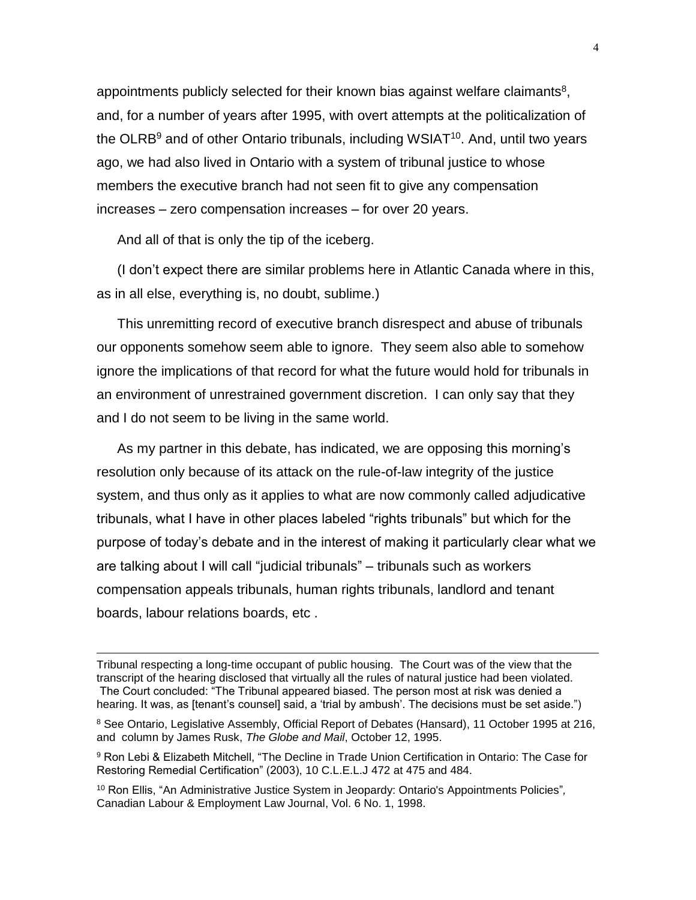appointments publicly selected for their known bias against welfare claimants<sup>8</sup>, and, for a number of years after 1995, with overt attempts at the politicalization of the OLRB<sup>9</sup> and of other Ontario tribunals, including WSIAT<sup>10</sup>. And, until two years ago, we had also lived in Ontario with a system of tribunal justice to whose members the executive branch had not seen fit to give any compensation increases – zero compensation increases – for over 20 years.

And all of that is only the tip of the iceberg.

 $\overline{a}$ 

(I don't expect there are similar problems here in Atlantic Canada where in this, as in all else, everything is, no doubt, sublime.)

This unremitting record of executive branch disrespect and abuse of tribunals our opponents somehow seem able to ignore. They seem also able to somehow ignore the implications of that record for what the future would hold for tribunals in an environment of unrestrained government discretion. I can only say that they and I do not seem to be living in the same world.

As my partner in this debate, has indicated, we are opposing this morning's resolution only because of its attack on the rule-of-law integrity of the justice system, and thus only as it applies to what are now commonly called adjudicative tribunals, what I have in other places labeled "rights tribunals" but which for the purpose of today's debate and in the interest of making it particularly clear what we are talking about I will call "judicial tribunals" – tribunals such as workers compensation appeals tribunals, human rights tribunals, landlord and tenant boards, labour relations boards, etc .

Tribunal respecting a long-time occupant of public housing. The Court was of the view that the transcript of the hearing disclosed that virtually all the rules of natural justice had been violated. The Court concluded: "The Tribunal appeared biased. The person most at risk was denied a hearing. It was, as [tenant's counsel] said, a 'trial by ambush'. The decisions must be set aside.")

<sup>&</sup>lt;sup>8</sup> See Ontario, Legislative Assembly, Official Report of Debates (Hansard), 11 October 1995 at 216, and column by James Rusk, *The Globe and Mail*, October 12, 1995.

<sup>9</sup> Ron Lebi & Elizabeth Mitchell, "The Decline in Trade Union Certification in Ontario: The Case for Restoring Remedial Certification" (2003), 10 C.L.E.L.J 472 at 475 and 484.

<sup>10</sup> Ron Ellis, "An Administrative Justice System in Jeopardy: Ontario's Appointments Policies"*,*  Canadian Labour & Employment Law Journal, Vol. 6 No. 1, 1998.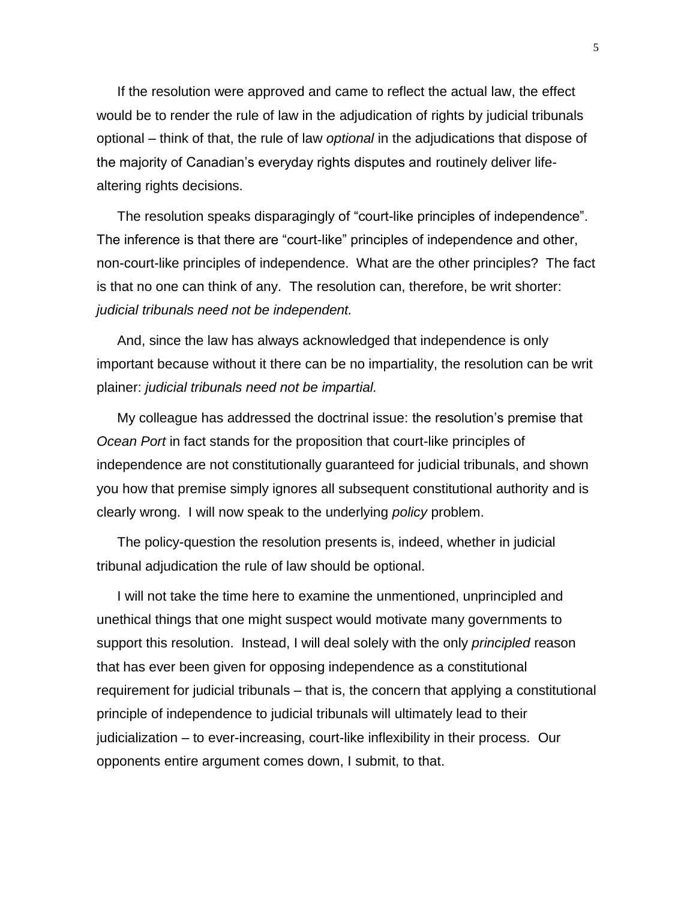If the resolution were approved and came to reflect the actual law, the effect would be to render the rule of law in the adjudication of rights by judicial tribunals optional – think of that, the rule of law *optional* in the adjudications that dispose of the majority of Canadian's everyday rights disputes and routinely deliver lifealtering rights decisions.

The resolution speaks disparagingly of "court-like principles of independence". The inference is that there are "court-like" principles of independence and other, non-court-like principles of independence. What are the other principles? The fact is that no one can think of any. The resolution can, therefore, be writ shorter: *judicial tribunals need not be independent.* 

And, since the law has always acknowledged that independence is only important because without it there can be no impartiality, the resolution can be writ plainer: *judicial tribunals need not be impartial.* 

My colleague has addressed the doctrinal issue: the resolution's premise that *Ocean Port* in fact stands for the proposition that court-like principles of independence are not constitutionally guaranteed for judicial tribunals, and shown you how that premise simply ignores all subsequent constitutional authority and is clearly wrong. I will now speak to the underlying *policy* problem.

The policy-question the resolution presents is, indeed, whether in judicial tribunal adjudication the rule of law should be optional.

I will not take the time here to examine the unmentioned, unprincipled and unethical things that one might suspect would motivate many governments to support this resolution. Instead, I will deal solely with the only *principled* reason that has ever been given for opposing independence as a constitutional requirement for judicial tribunals – that is, the concern that applying a constitutional principle of independence to judicial tribunals will ultimately lead to their judicialization – to ever-increasing, court-like inflexibility in their process. Our opponents entire argument comes down, I submit, to that.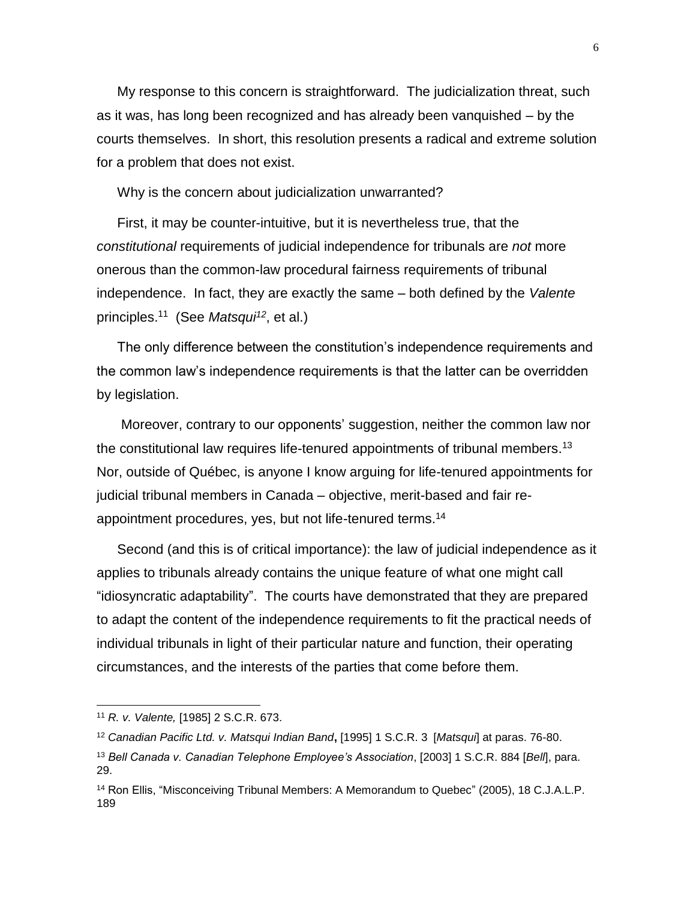My response to this concern is straightforward. The judicialization threat, such as it was, has long been recognized and has already been vanquished – by the courts themselves. In short, this resolution presents a radical and extreme solution for a problem that does not exist.

Why is the concern about judicialization unwarranted?

First, it may be counter-intuitive, but it is nevertheless true, that the *constitutional* requirements of judicial independence for tribunals are *not* more onerous than the common-law procedural fairness requirements of tribunal independence. In fact, they are exactly the same – both defined by the *Valente* principles.<sup>11</sup> (See *Matsqui<sup>12</sup>*, et al.)

The only difference between the constitution's independence requirements and the common law's independence requirements is that the latter can be overridden by legislation.

<span id="page-5-0"></span>Moreover, contrary to our opponents' suggestion, neither the common law nor the constitutional law requires life-tenured appointments of tribunal members.<sup>13</sup> Nor, outside of Québec, is anyone I know arguing for life-tenured appointments for judicial tribunal members in Canada – objective, merit-based and fair reappointment procedures, yes, but not life-tenured terms. 14

Second (and this is of critical importance): the law of judicial independence as it applies to tribunals already contains the unique feature of what one might call "idiosyncratic adaptability". The courts have demonstrated that they are prepared to adapt the content of the independence requirements to fit the practical needs of individual tribunals in light of their particular nature and function, their operating circumstances, and the interests of the parties that come before them.

<sup>11</sup> *R. v. Valente,* [1985] 2 S.C.R. 673.

<sup>12</sup> *Canadian Pacific Ltd. v. Matsqui Indian Band***,** [1995] 1 S.C.R. 3 [*Matsqui*] at paras. 76-80. <sup>13</sup> *Bell Canada v. Canadian Telephone Employee's Association*, [2003] 1 S.C.R. 884 [*Bell*], para. 29.

<sup>14</sup> Ron Ellis, "Misconceiving Tribunal Members: A Memorandum to Quebec" (2005), 18 C.J.A.L.P. 189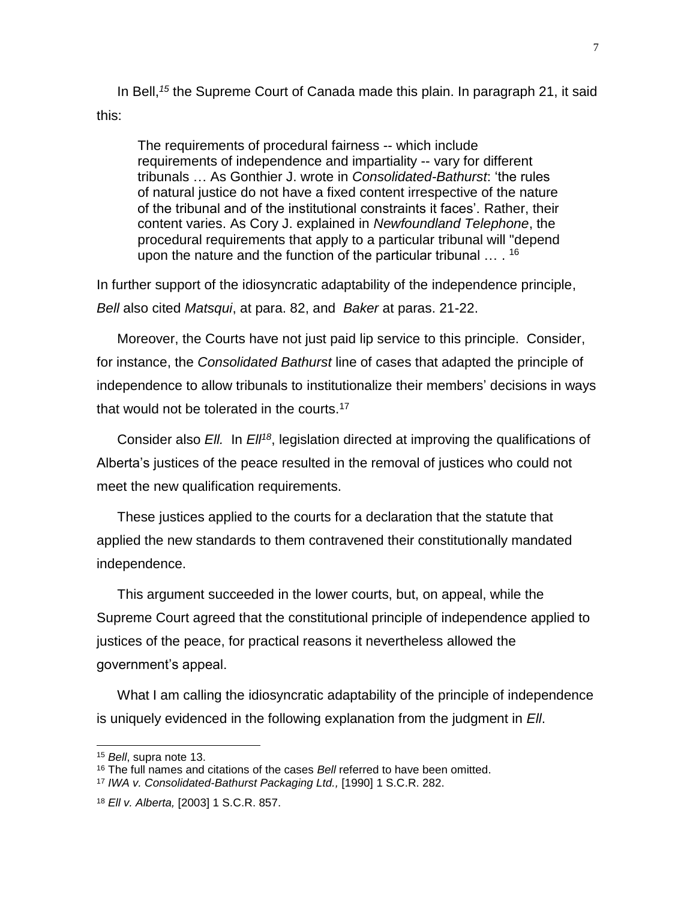In Bell,*<sup>15</sup>* the Supreme Court of Canada made this plain. In paragraph 21, it said this:

The requirements of procedural fairness -- which include requirements of independence and impartiality -- vary for different tribunals … As Gonthier J. wrote in *Consolidated-Bathurst*: 'the rules of natural justice do not have a fixed content irrespective of the nature of the tribunal and of the institutional constraints it faces'. Rather, their content varies. As Cory J. explained in *Newfoundland Telephone*, the procedural requirements that apply to a particular tribunal will "depend upon the nature and the function of the particular tribunal ... . <sup>16</sup>

In further support of the idiosyncratic adaptability of the independence principle, *Bell* also cited *Matsqui*, at para. 82, and *Baker* at paras. 21-22.

Moreover, the Courts have not just paid lip service to this principle. Consider, for instance, the *Consolidated Bathurst* line of cases that adapted the principle of independence to allow tribunals to institutionalize their members' decisions in ways that would not be tolerated in the courts.<sup>17</sup>

Consider also *Ell.* In *Ell<sup>18</sup>*, legislation directed at improving the qualifications of Alberta's justices of the peace resulted in the removal of justices who could not meet the new qualification requirements.

These justices applied to the courts for a declaration that the statute that applied the new standards to them contravened their constitutionally mandated independence.

This argument succeeded in the lower courts, but, on appeal, while the Supreme Court agreed that the constitutional principle of independence applied to justices of the peace, for practical reasons it nevertheless allowed the government's appeal.

What I am calling the idiosyncratic adaptability of the principle of independence is uniquely evidenced in the following explanation from the judgment in *Ell*.

<sup>15</sup> *Bell*, supra note [13.](#page-5-0)

<sup>16</sup> The full names and citations of the cases *Bell* referred to have been omitted.

<sup>17</sup> *IWA v. Consolidated-Bathurst Packaging Ltd.,* [1990] 1 S.C.R. 282.

<sup>18</sup> *Ell v. Alberta,* [2003] 1 S.C.R. 857.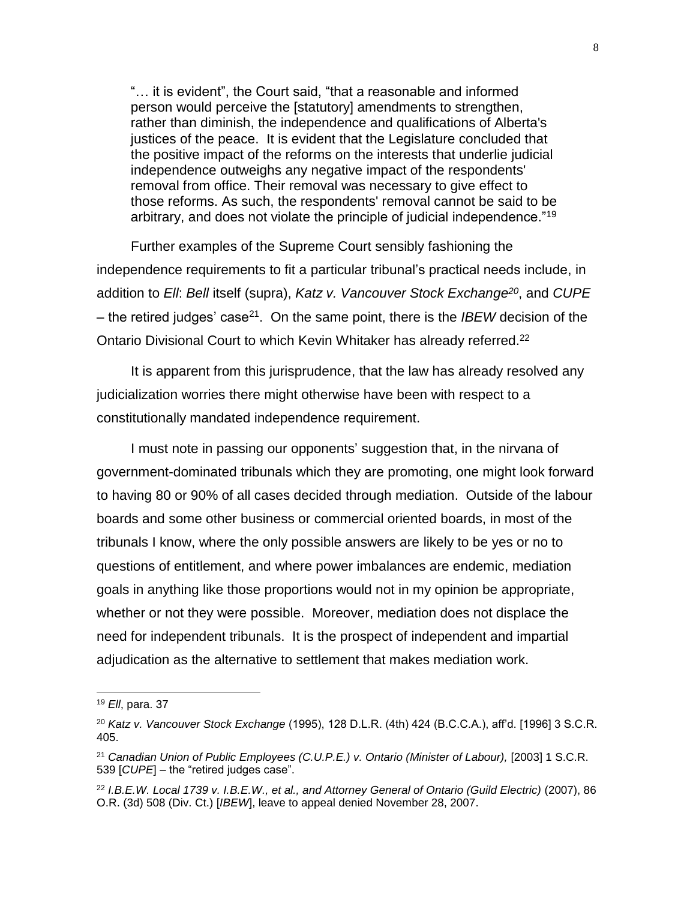"… it is evident", the Court said, "that a reasonable and informed person would perceive the [statutory] amendments to strengthen, rather than diminish, the independence and qualifications of Alberta's justices of the peace. It is evident that the Legislature concluded that the positive impact of the reforms on the interests that underlie judicial independence outweighs any negative impact of the respondents' removal from office. Their removal was necessary to give effect to those reforms. As such, the respondents' removal cannot be said to be arbitrary, and does not violate the principle of judicial independence."<sup>19</sup>

Further examples of the Supreme Court sensibly fashioning the independence requirements to fit a particular tribunal's practical needs include, in addition to *Ell*: *Bell* itself (supra), *Katz v. Vancouver Stock Exchange<sup>20</sup>*, and *CUPE* – the retired judges' case<sup>21</sup>. On the same point, there is the *IBEW* decision of the Ontario Divisional Court to which Kevin Whitaker has already referred.<sup>22</sup>

It is apparent from this jurisprudence, that the law has already resolved any judicialization worries there might otherwise have been with respect to a constitutionally mandated independence requirement.

I must note in passing our opponents' suggestion that, in the nirvana of government-dominated tribunals which they are promoting, one might look forward to having 80 or 90% of all cases decided through mediation. Outside of the labour boards and some other business or commercial oriented boards, in most of the tribunals I know, where the only possible answers are likely to be yes or no to questions of entitlement, and where power imbalances are endemic, mediation goals in anything like those proportions would not in my opinion be appropriate, whether or not they were possible. Moreover, mediation does not displace the need for independent tribunals. It is the prospect of independent and impartial adjudication as the alternative to settlement that makes mediation work.

<sup>19</sup> *Ell*, para. 37

<sup>20</sup> *Katz v. Vancouver Stock Exchange* (1995), 128 D.L.R. (4th) 424 (B.C.C.A.), aff'd. [1996] 3 S.C.R. 405.

<sup>&</sup>lt;sup>21</sup> Canadian Union of Public Employees (C.U.P.E.) v. Ontario (Minister of Labour), [2003] 1 S.C.R. 539 [*CUPE*] – the "retired judges case".

<sup>22</sup> *I.B.E.W. Local 1739 v. I.B.E.W., et al., and Attorney General of Ontario (Guild Electric)* (2007), 86 O.R. (3d) 508 (Div. Ct.) [*IBEW*], leave to appeal denied November 28, 2007.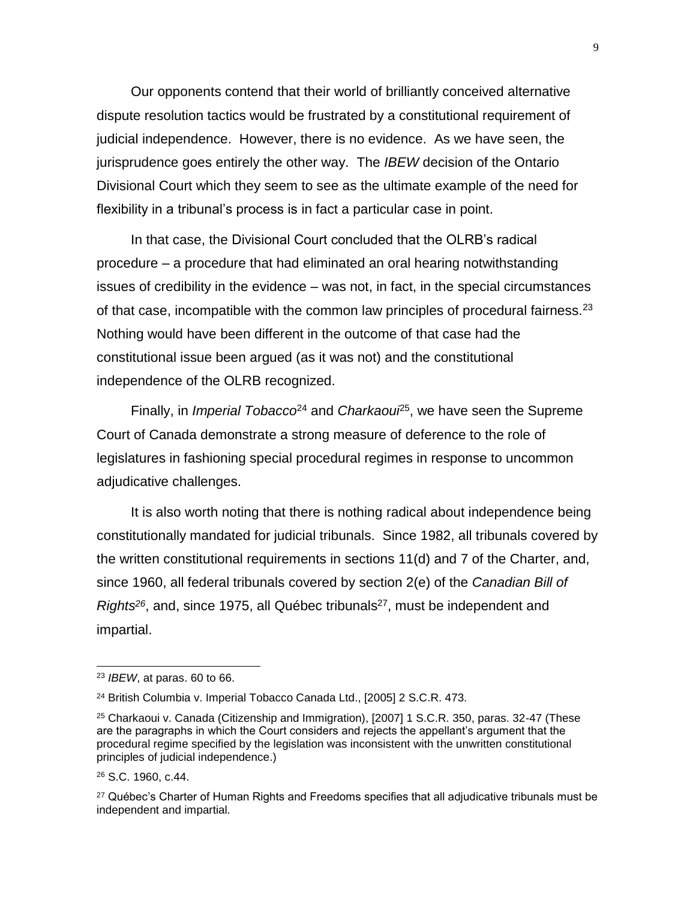Our opponents contend that their world of brilliantly conceived alternative dispute resolution tactics would be frustrated by a constitutional requirement of judicial independence. However, there is no evidence. As we have seen, the jurisprudence goes entirely the other way. The *IBEW* decision of the Ontario Divisional Court which they seem to see as the ultimate example of the need for flexibility in a tribunal's process is in fact a particular case in point.

In that case, the Divisional Court concluded that the OLRB's radical procedure – a procedure that had eliminated an oral hearing notwithstanding issues of credibility in the evidence – was not, in fact, in the special circumstances of that case, incompatible with the common law principles of procedural fairness. $2<sup>3</sup>$ Nothing would have been different in the outcome of that case had the constitutional issue been argued (as it was not) and the constitutional independence of the OLRB recognized.

Finally, in *Imperial Tobacco*<sup>24</sup> and *Charkaoui*<sup>25</sup>, we have seen the Supreme Court of Canada demonstrate a strong measure of deference to the role of legislatures in fashioning special procedural regimes in response to uncommon adjudicative challenges.

It is also worth noting that there is nothing radical about independence being constitutionally mandated for judicial tribunals. Since 1982, all tribunals covered by the written constitutional requirements in sections 11(d) and 7 of the Charter, and, since 1960, all federal tribunals covered by section 2(e) of the *Canadian Bill of Rights*<sup>26</sup>, and, since 1975, all Québec tribunals<sup>27</sup>, must be independent and impartial.

<sup>23</sup> *IBEW*, at paras. 60 to 66.

<sup>24</sup> British Columbia v. Imperial Tobacco Canada Ltd., [2005] 2 S.C.R. 473.

<sup>25</sup> Charkaoui v. Canada (Citizenship and Immigration), [2007] 1 S.C.R. 350, paras. 32-47 (These are the paragraphs in which the Court considers and rejects the appellant's argument that the procedural regime specified by the legislation was inconsistent with the unwritten constitutional principles of judicial independence.)

<sup>26</sup> S.C. 1960, c.44.

 $27$  Québec's Charter of Human Rights and Freedoms specifies that all adjudicative tribunals must be independent and impartial.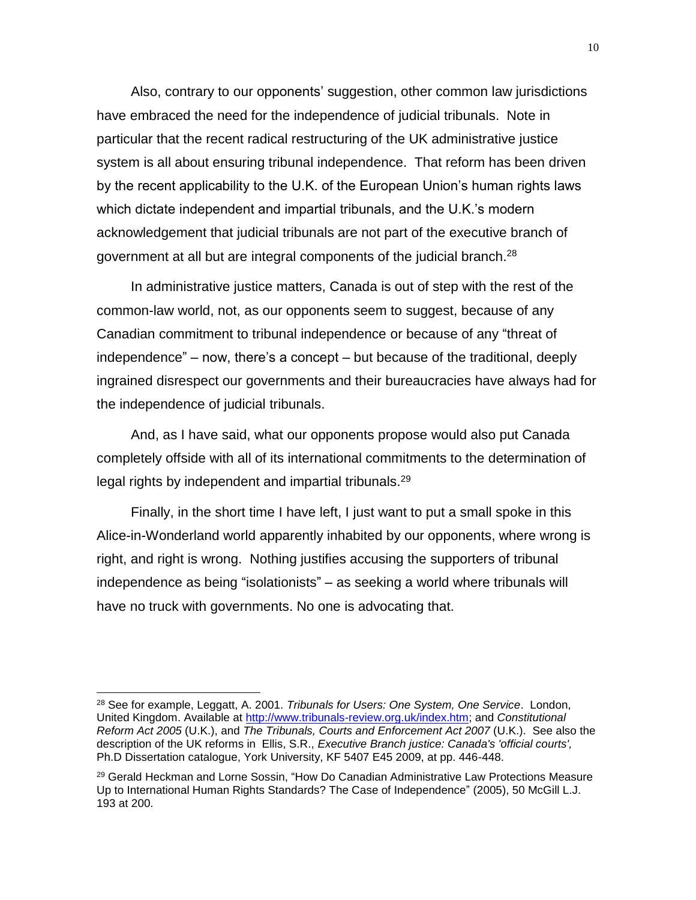Also, contrary to our opponents' suggestion, other common law jurisdictions have embraced the need for the independence of judicial tribunals. Note in particular that the recent radical restructuring of the UK administrative justice system is all about ensuring tribunal independence. That reform has been driven by the recent applicability to the U.K. of the European Union's human rights laws which dictate independent and impartial tribunals, and the U.K.'s modern acknowledgement that judicial tribunals are not part of the executive branch of government at all but are integral components of the judicial branch.<sup>28</sup>

In administrative justice matters, Canada is out of step with the rest of the common-law world, not, as our opponents seem to suggest, because of any Canadian commitment to tribunal independence or because of any "threat of independence" – now, there's a concept – but because of the traditional, deeply ingrained disrespect our governments and their bureaucracies have always had for the independence of judicial tribunals.

And, as I have said, what our opponents propose would also put Canada completely offside with all of its international commitments to the determination of legal rights by independent and impartial tribunals.<sup>29</sup>

Finally, in the short time I have left, I just want to put a small spoke in this Alice-in-Wonderland world apparently inhabited by our opponents, where wrong is right, and right is wrong. Nothing justifies accusing the supporters of tribunal independence as being "isolationists" – as seeking a world where tribunals will have no truck with governments. No one is advocating that.

<sup>28</sup> See for example, Leggatt, A. 2001. *Tribunals for Users: One System, One Service*. London, United Kingdom. Available at [http://www.tribunals-review.org.uk/index.htm;](http://www.tribunals-review.org.uk/index.htm) and *Constitutional Reform Act 2005* (U.K.), and *The Tribunals, Courts and Enforcement Act 2007* (U.K.). See also the description of the UK reforms in Ellis, S.R., *Executive Branch justice: Canada's 'official courts',* Ph.D Dissertation catalogue, York University, KF 5407 E45 2009, at pp. 446-448.

<sup>&</sup>lt;sup>29</sup> Gerald Heckman and Lorne Sossin, "How Do Canadian Administrative Law Protections Measure Up to International Human Rights Standards? The Case of Independence" (2005), 50 McGill L.J. 193 at 200.